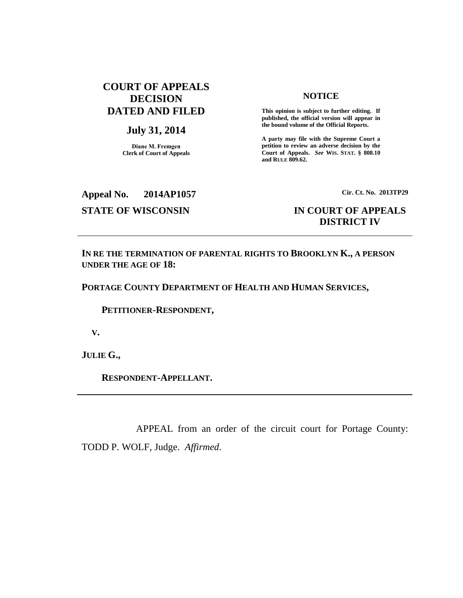# **COURT OF APPEALS DECISION DATED AND FILED**

### **July 31, 2014**

**Diane M. Fremgen Clerk of Court of Appeals**

#### **NOTICE**

**This opinion is subject to further editing. If published, the official version will appear in the bound volume of the Official Reports.** 

**A party may file with the Supreme Court a petition to review an adverse decision by the Court of Appeals.** *See* **WIS. STAT. § 808.10 and RULE 809.62.** 

**Appeal No. 2014AP1057 Cir. Ct. No. 2013TP29**

## **STATE OF WISCONSIN IN COURT OF APPEALS DISTRICT IV**

**IN RE THE TERMINATION OF PARENTAL RIGHTS TO BROOKLYN K., A PERSON UNDER THE AGE OF 18:**

**PORTAGE COUNTY DEPARTMENT OF HEALTH AND HUMAN SERVICES,**

 **PETITIONER-RESPONDENT,**

 **V.**

**JULIE G.,**

 **RESPONDENT-APPELLANT.**

APPEAL from an order of the circuit court for Portage County: TODD P. WOLF, Judge. *Affirmed*.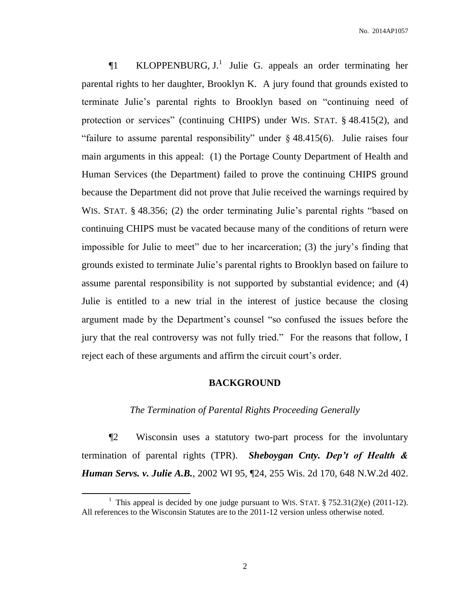$\P1$  KLOPPENBURG, J.<sup>1</sup> Julie G. appeals an order terminating her parental rights to her daughter, Brooklyn K. A jury found that grounds existed to terminate Julie's parental rights to Brooklyn based on "continuing need of protection or services" (continuing CHIPS) under WIS. STAT. § 48.415(2), and "failure to assume parental responsibility" under  $\S$  48.415(6). Julie raises four main arguments in this appeal: (1) the Portage County Department of Health and Human Services (the Department) failed to prove the continuing CHIPS ground because the Department did not prove that Julie received the warnings required by WIS. STAT. § 48.356; (2) the order terminating Julie's parental rights "based on continuing CHIPS must be vacated because many of the conditions of return were impossible for Julie to meet" due to her incarceration; (3) the jury's finding that grounds existed to terminate Julie's parental rights to Brooklyn based on failure to assume parental responsibility is not supported by substantial evidence; and (4) Julie is entitled to a new trial in the interest of justice because the closing argument made by the Department's counsel "so confused the issues before the jury that the real controversy was not fully tried." For the reasons that follow, I reject each of these arguments and affirm the circuit court's order.

### **BACKGROUND**

#### *The Termination of Parental Rights Proceeding Generally*

¶2 Wisconsin uses a statutory two-part process for the involuntary termination of parental rights (TPR). *Sheboygan Cnty. Dep't of Health & Human Servs. v. Julie A.B.*, 2002 WI 95, ¶24, 255 Wis. 2d 170, 648 N.W.2d 402.

 $\overline{a}$ 

<sup>&</sup>lt;sup>1</sup> This appeal is decided by one judge pursuant to WIS. STAT.  $\S 752.31(2)(e)$  (2011-12). All references to the Wisconsin Statutes are to the 2011-12 version unless otherwise noted.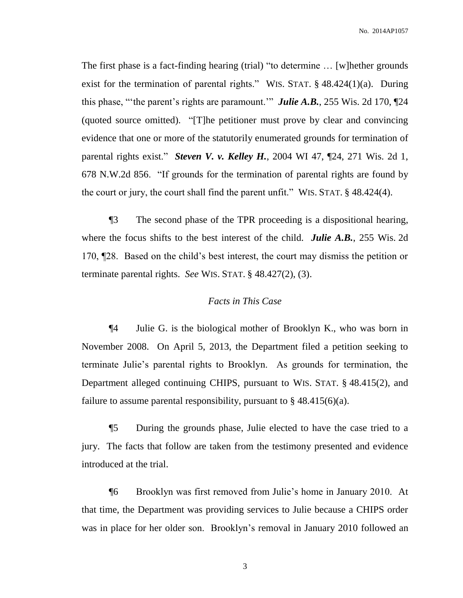The first phase is a fact-finding hearing (trial) "to determine … [w]hether grounds exist for the termination of parental rights." WIS. STAT. § 48.424(1)(a). During this phase, "'the parent's rights are paramount.'" *Julie A.B.*, 255 Wis. 2d 170, ¶24 (quoted source omitted). "[T]he petitioner must prove by clear and convincing evidence that one or more of the statutorily enumerated grounds for termination of parental rights exist." *Steven V. v. Kelley H.*, 2004 WI 47, ¶24, 271 Wis. 2d 1, 678 N.W.2d 856. "If grounds for the termination of parental rights are found by the court or jury, the court shall find the parent unfit." WIS. STAT. § 48.424(4).

¶3 The second phase of the TPR proceeding is a dispositional hearing, where the focus shifts to the best interest of the child. *Julie A.B.*, 255 Wis. 2d 170, ¶28. Based on the child's best interest, the court may dismiss the petition or terminate parental rights. *See* WIS. STAT. § 48.427(2), (3).

#### *Facts in This Case*

¶4 Julie G. is the biological mother of Brooklyn K., who was born in November 2008. On April 5, 2013, the Department filed a petition seeking to terminate Julie's parental rights to Brooklyn. As grounds for termination, the Department alleged continuing CHIPS, pursuant to WIS. STAT. § 48.415(2), and failure to assume parental responsibility, pursuant to  $\S$  48.415(6)(a).

¶5 During the grounds phase, Julie elected to have the case tried to a jury. The facts that follow are taken from the testimony presented and evidence introduced at the trial.

¶6 Brooklyn was first removed from Julie's home in January 2010. At that time, the Department was providing services to Julie because a CHIPS order was in place for her older son. Brooklyn's removal in January 2010 followed an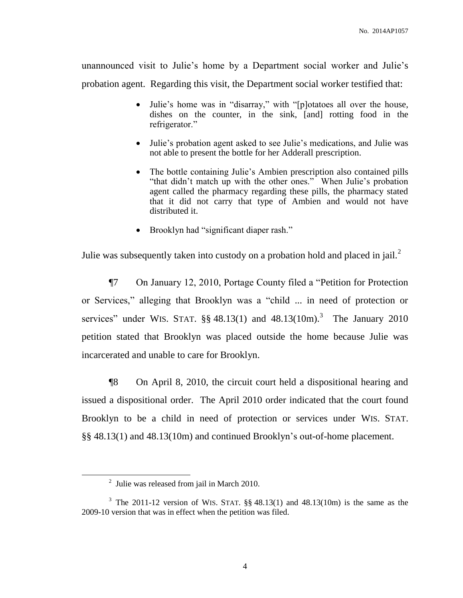unannounced visit to Julie's home by a Department social worker and Julie's probation agent. Regarding this visit, the Department social worker testified that:

- Julie's home was in "disarray," with "[p]otatoes all over the house, dishes on the counter, in the sink, [and] rotting food in the refrigerator."
- Julie's probation agent asked to see Julie's medications, and Julie was not able to present the bottle for her Adderall prescription.
- The bottle containing Julie's Ambien prescription also contained pills "that didn't match up with the other ones." When Julie's probation agent called the pharmacy regarding these pills, the pharmacy stated that it did not carry that type of Ambien and would not have distributed it.
- Brooklyn had "significant diaper rash."

Julie was subsequently taken into custody on a probation hold and placed in jail.<sup>2</sup>

¶7 On January 12, 2010, Portage County filed a "Petition for Protection or Services," alleging that Brooklyn was a "child ... in need of protection or services" under WIS. STAT.  $\S$ § 48.13(1) and 48.13(10m).<sup>3</sup> The January 2010 petition stated that Brooklyn was placed outside the home because Julie was incarcerated and unable to care for Brooklyn.

¶8 On April 8, 2010, the circuit court held a dispositional hearing and issued a dispositional order. The April 2010 order indicated that the court found Brooklyn to be a child in need of protection or services under WIS. STAT. §§ 48.13(1) and 48.13(10m) and continued Brooklyn's out-of-home placement.

 $\overline{\phantom{a}}$ 

 $2$  Julie was released from jail in March 2010.

<sup>&</sup>lt;sup>3</sup> The 2011-12 version of WIS. STAT.  $\S$  48.13(1) and 48.13(10m) is the same as the 2009-10 version that was in effect when the petition was filed.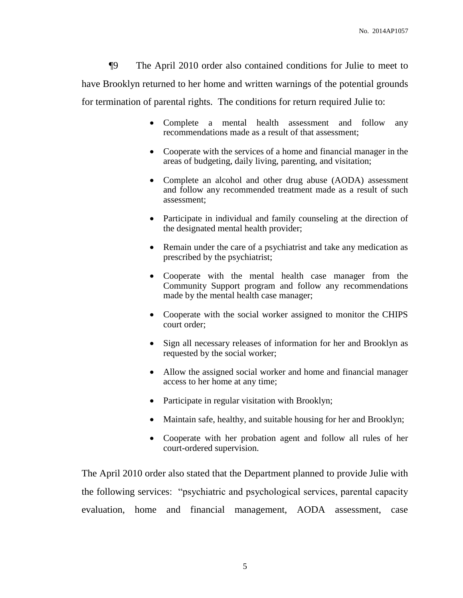¶9 The April 2010 order also contained conditions for Julie to meet to have Brooklyn returned to her home and written warnings of the potential grounds for termination of parental rights. The conditions for return required Julie to:

- Complete a mental health assessment and follow any recommendations made as a result of that assessment;
- Cooperate with the services of a home and financial manager in the areas of budgeting, daily living, parenting, and visitation;
- Complete an alcohol and other drug abuse (AODA) assessment and follow any recommended treatment made as a result of such assessment;
- Participate in individual and family counseling at the direction of the designated mental health provider;
- Remain under the care of a psychiatrist and take any medication as prescribed by the psychiatrist;
- Cooperate with the mental health case manager from the Community Support program and follow any recommendations made by the mental health case manager;
- Cooperate with the social worker assigned to monitor the CHIPS court order;
- Sign all necessary releases of information for her and Brooklyn as requested by the social worker;
- Allow the assigned social worker and home and financial manager access to her home at any time;
- Participate in regular visitation with Brooklyn;
- Maintain safe, healthy, and suitable housing for her and Brooklyn;
- Cooperate with her probation agent and follow all rules of her court-ordered supervision.

The April 2010 order also stated that the Department planned to provide Julie with the following services: "psychiatric and psychological services, parental capacity evaluation, home and financial management, AODA assessment, case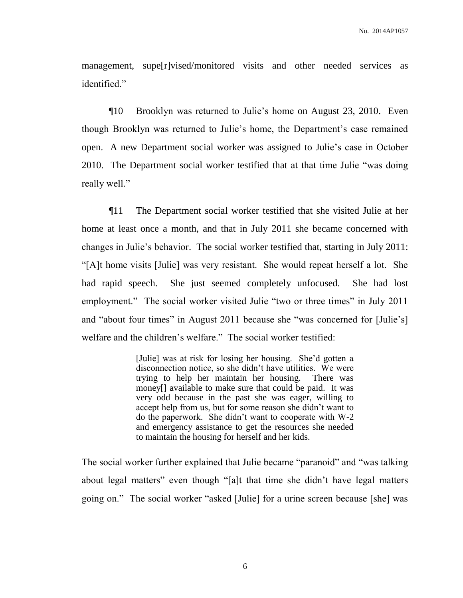management, supe[r]vised/monitored visits and other needed services as identified."

¶10 Brooklyn was returned to Julie's home on August 23, 2010. Even though Brooklyn was returned to Julie's home, the Department's case remained open. A new Department social worker was assigned to Julie's case in October 2010. The Department social worker testified that at that time Julie "was doing really well."

¶11 The Department social worker testified that she visited Julie at her home at least once a month, and that in July 2011 she became concerned with changes in Julie's behavior. The social worker testified that, starting in July 2011: "[A]t home visits [Julie] was very resistant. She would repeat herself a lot. She had rapid speech. She just seemed completely unfocused. She had lost employment." The social worker visited Julie "two or three times" in July 2011 and "about four times" in August 2011 because she "was concerned for [Julie's] welfare and the children's welfare." The social worker testified:

> [Julie] was at risk for losing her housing. She'd gotten a disconnection notice, so she didn't have utilities. We were trying to help her maintain her housing. There was money[] available to make sure that could be paid. It was very odd because in the past she was eager, willing to accept help from us, but for some reason she didn't want to do the paperwork. She didn't want to cooperate with W-2 and emergency assistance to get the resources she needed to maintain the housing for herself and her kids.

The social worker further explained that Julie became "paranoid" and "was talking about legal matters" even though "[a]t that time she didn't have legal matters going on." The social worker "asked [Julie] for a urine screen because [she] was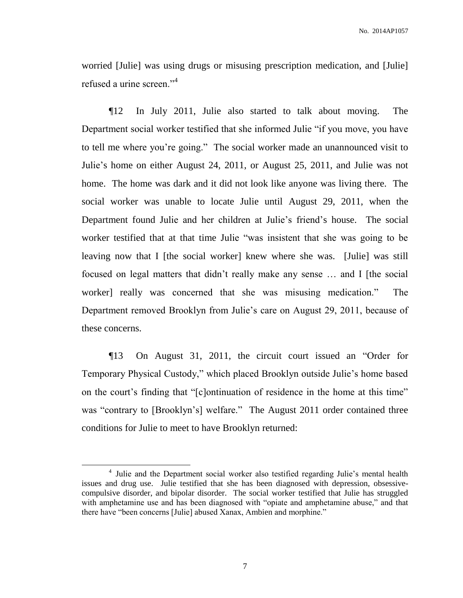worried [Julie] was using drugs or misusing prescription medication, and [Julie] refused a urine screen."<sup>4</sup>

¶12 In July 2011, Julie also started to talk about moving. The Department social worker testified that she informed Julie "if you move, you have to tell me where you're going." The social worker made an unannounced visit to Julie's home on either August 24, 2011, or August 25, 2011, and Julie was not home. The home was dark and it did not look like anyone was living there. The social worker was unable to locate Julie until August 29, 2011, when the Department found Julie and her children at Julie's friend's house. The social worker testified that at that time Julie "was insistent that she was going to be leaving now that I [the social worker] knew where she was. [Julie] was still focused on legal matters that didn't really make any sense … and I [the social worker] really was concerned that she was misusing medication." The Department removed Brooklyn from Julie's care on August 29, 2011, because of these concerns.

¶13 On August 31, 2011, the circuit court issued an "Order for Temporary Physical Custody," which placed Brooklyn outside Julie's home based on the court's finding that "[c]ontinuation of residence in the home at this time" was "contrary to [Brooklyn's] welfare." The August 2011 order contained three conditions for Julie to meet to have Brooklyn returned:

 $\overline{\phantom{a}}$ 

<sup>&</sup>lt;sup>4</sup> Julie and the Department social worker also testified regarding Julie's mental health issues and drug use. Julie testified that she has been diagnosed with depression, obsessivecompulsive disorder, and bipolar disorder. The social worker testified that Julie has struggled with amphetamine use and has been diagnosed with "opiate and amphetamine abuse," and that there have "been concerns [Julie] abused Xanax, Ambien and morphine."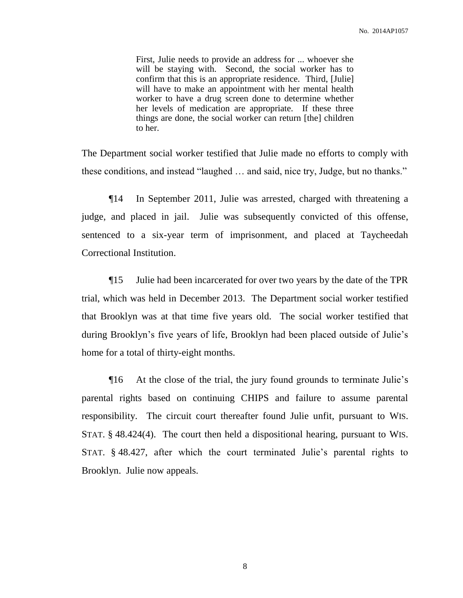First, Julie needs to provide an address for ... whoever she will be staying with. Second, the social worker has to confirm that this is an appropriate residence. Third, [Julie] will have to make an appointment with her mental health worker to have a drug screen done to determine whether her levels of medication are appropriate. If these three things are done, the social worker can return [the] children to her.

The Department social worker testified that Julie made no efforts to comply with these conditions, and instead "laughed … and said, nice try, Judge, but no thanks."

¶14 In September 2011, Julie was arrested, charged with threatening a judge, and placed in jail. Julie was subsequently convicted of this offense, sentenced to a six-year term of imprisonment, and placed at Taycheedah Correctional Institution.

¶15 Julie had been incarcerated for over two years by the date of the TPR trial, which was held in December 2013. The Department social worker testified that Brooklyn was at that time five years old. The social worker testified that during Brooklyn's five years of life, Brooklyn had been placed outside of Julie's home for a total of thirty-eight months.

¶16 At the close of the trial, the jury found grounds to terminate Julie's parental rights based on continuing CHIPS and failure to assume parental responsibility. The circuit court thereafter found Julie unfit, pursuant to WIS. STAT. § 48.424(4). The court then held a dispositional hearing, pursuant to WIS. STAT. § 48.427, after which the court terminated Julie's parental rights to Brooklyn. Julie now appeals.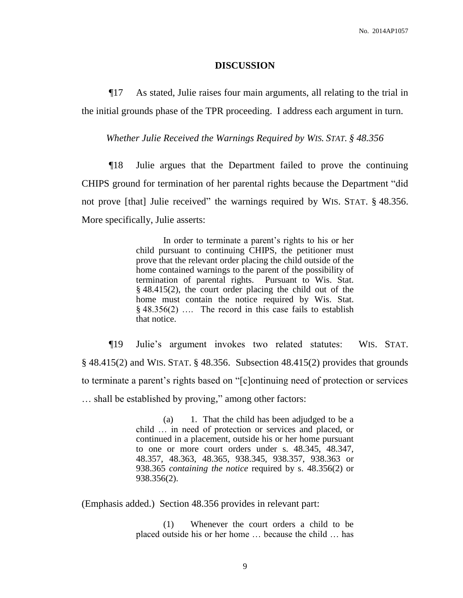#### **DISCUSSION**

¶17 As stated, Julie raises four main arguments, all relating to the trial in the initial grounds phase of the TPR proceeding. I address each argument in turn.

*Whether Julie Received the Warnings Required by WIS. STAT. § 48.356*

¶18 Julie argues that the Department failed to prove the continuing CHIPS ground for termination of her parental rights because the Department "did not prove [that] Julie received" the warnings required by WIS. STAT. § 48.356. More specifically, Julie asserts:

> In order to terminate a parent's rights to his or her child pursuant to continuing CHIPS, the petitioner must prove that the relevant order placing the child outside of the home contained warnings to the parent of the possibility of termination of parental rights. Pursuant to Wis. Stat. § 48.415(2), the court order placing the child out of the home must contain the notice required by Wis. Stat. § 48.356(2) …. The record in this case fails to establish that notice.

¶19 Julie's argument invokes two related statutes: WIS. STAT. § 48.415(2) and WIS. STAT. § 48.356. Subsection 48.415(2) provides that grounds to terminate a parent's rights based on "[c]ontinuing need of protection or services … shall be established by proving," among other factors:

> (a) 1. That the child has been adjudged to be a child … in need of protection or services and placed, or continued in a placement, outside his or her home pursuant to one or more court orders under s. 48.345, 48.347, 48.357, 48.363, 48.365, 938.345, 938.357, 938.363 or 938.365 *containing the notice* required by s. 48.356(2) or 938.356(2).

(Emphasis added.) Section 48.356 provides in relevant part:

(1) Whenever the court orders a child to be placed outside his or her home … because the child … has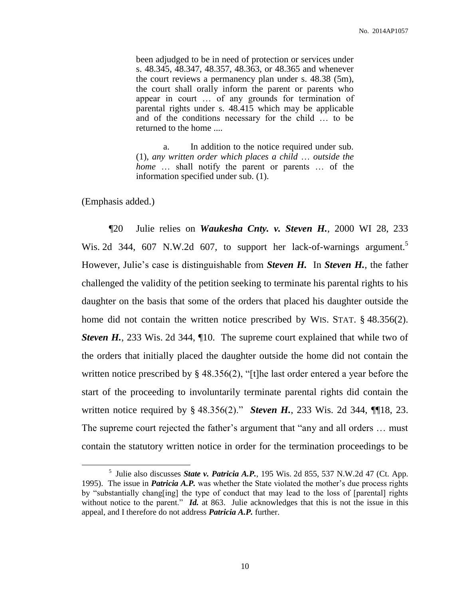been adjudged to be in need of protection or services under s. 48.345, 48.347, 48.357, 48.363, or 48.365 and whenever the court reviews a permanency plan under s. 48.38 (5m), the court shall orally inform the parent or parents who appear in court … of any grounds for termination of parental rights under s. 48.415 which may be applicable and of the conditions necessary for the child … to be returned to the home ....

a. In addition to the notice required under sub. (1), *any written order which places a child* … *outside the home* … shall notify the parent or parents … of the information specified under sub. (1).

(Emphasis added.)

 $\overline{\phantom{a}}$ 

¶20 Julie relies on *Waukesha Cnty. v. Steven H.*, 2000 WI 28, 233 Wis. 2d 344, 607 N.W.2d 607, to support her lack-of-warnings argument.<sup>5</sup> However, Julie's case is distinguishable from *Steven H.* In *Steven H.*, the father challenged the validity of the petition seeking to terminate his parental rights to his daughter on the basis that some of the orders that placed his daughter outside the home did not contain the written notice prescribed by WIS. STAT. § 48.356(2). *Steven H.*, 233 Wis. 2d 344, ¶10. The supreme court explained that while two of the orders that initially placed the daughter outside the home did not contain the written notice prescribed by § 48.356(2), "[t]he last order entered a year before the start of the proceeding to involuntarily terminate parental rights did contain the written notice required by § 48.356(2)." *Steven H.*, 233 Wis. 2d 344, ¶[18, 23. The supreme court rejected the father's argument that "any and all orders … must contain the statutory written notice in order for the termination proceedings to be

<sup>5</sup> Julie also discusses *State v. Patricia A.P.*, 195 Wis. 2d 855, 537 N.W.2d 47 (Ct. App. 1995). The issue in *Patricia A.P.* was whether the State violated the mother's due process rights by "substantially chang[ing] the type of conduct that may lead to the loss of [parental] rights without notice to the parent." *Id.* at 863. Julie acknowledges that this is not the issue in this appeal, and I therefore do not address *Patricia A.P.* further.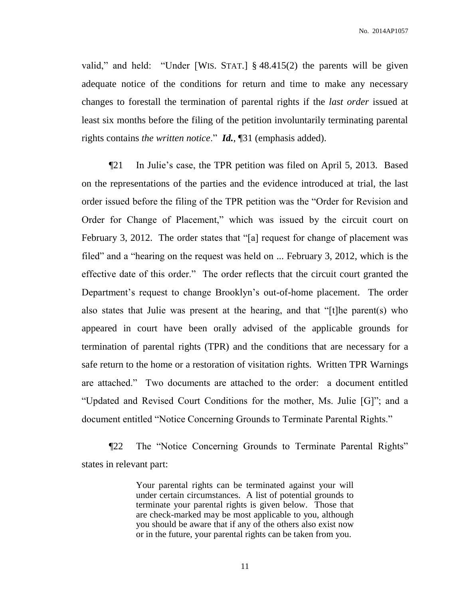No. 2014AP1057

valid," and held: "Under [WIS. STAT.] § 48.415(2) the parents will be given adequate notice of the conditions for return and time to make any necessary changes to forestall the termination of parental rights if the *last order* issued at least six months before the filing of the petition involuntarily terminating parental rights contains *the written notice*." *Id.*, ¶31 (emphasis added).

¶21 In Julie's case, the TPR petition was filed on April 5, 2013. Based on the representations of the parties and the evidence introduced at trial, the last order issued before the filing of the TPR petition was the "Order for Revision and Order for Change of Placement," which was issued by the circuit court on February 3, 2012. The order states that "[a] request for change of placement was filed" and a "hearing on the request was held on ... February 3, 2012, which is the effective date of this order." The order reflects that the circuit court granted the Department's request to change Brooklyn's out-of-home placement. The order also states that Julie was present at the hearing, and that "[t]he parent(s) who appeared in court have been orally advised of the applicable grounds for termination of parental rights (TPR) and the conditions that are necessary for a safe return to the home or a restoration of visitation rights. Written TPR Warnings are attached." Two documents are attached to the order: a document entitled "Updated and Revised Court Conditions for the mother, Ms. Julie [G]"; and a document entitled "Notice Concerning Grounds to Terminate Parental Rights."

¶22 The "Notice Concerning Grounds to Terminate Parental Rights" states in relevant part:

> Your parental rights can be terminated against your will under certain circumstances. A list of potential grounds to terminate your parental rights is given below. Those that are check-marked may be most applicable to you, although you should be aware that if any of the others also exist now or in the future, your parental rights can be taken from you.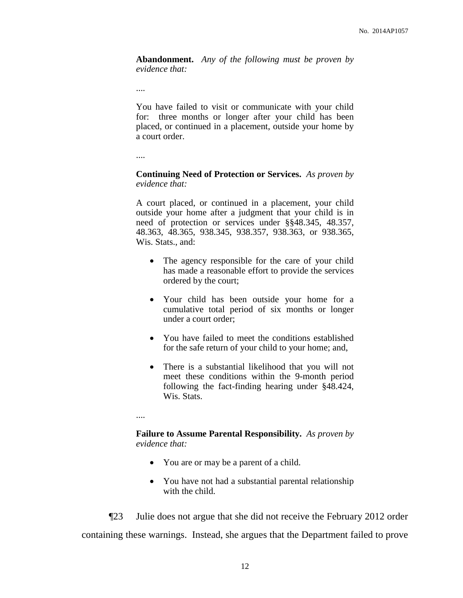**Abandonment.** *Any of the following must be proven by evidence that:*

....

You have failed to visit or communicate with your child for: three months or longer after your child has been placed, or continued in a placement, outside your home by a court order.

....

**Continuing Need of Protection or Services.** *As proven by evidence that:*

A court placed, or continued in a placement, your child outside your home after a judgment that your child is in need of protection or services under §§48.345, 48.357, 48.363, 48.365, 938.345, 938.357, 938.363, or 938.365, Wis. Stats., and:

- The agency responsible for the care of your child has made a reasonable effort to provide the services ordered by the court;
- Your child has been outside your home for a cumulative total period of six months or longer under a court order;
- You have failed to meet the conditions established for the safe return of your child to your home; and,
- There is a substantial likelihood that you will not meet these conditions within the 9-month period following the fact-finding hearing under §48.424, Wis. Stats.

....

#### **Failure to Assume Parental Responsibility.** *As proven by evidence that:*

- You are or may be a parent of a child.
- You have not had a substantial parental relationship with the child.

¶23 Julie does not argue that she did not receive the February 2012 order containing these warnings. Instead, she argues that the Department failed to prove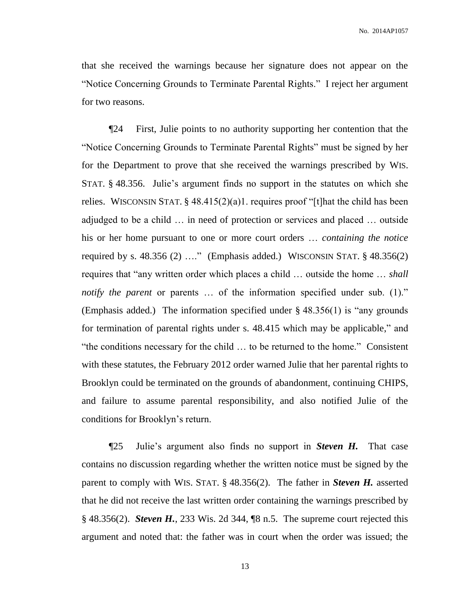that she received the warnings because her signature does not appear on the "Notice Concerning Grounds to Terminate Parental Rights." I reject her argument for two reasons.

¶24 First, Julie points to no authority supporting her contention that the "Notice Concerning Grounds to Terminate Parental Rights" must be signed by her for the Department to prove that she received the warnings prescribed by WIS. STAT. § 48.356. Julie's argument finds no support in the statutes on which she relies. WISCONSIN STAT. § 48.415(2)(a)1. requires proof "[t]hat the child has been adjudged to be a child … in need of protection or services and placed … outside his or her home pursuant to one or more court orders … *containing the notice* required by s.  $48.356$  (2) ...." (Emphasis added.) WISCONSIN STAT.  $\S$   $48.356$ (2) requires that "any written order which places a child … outside the home … *shall notify the parent* or parents ... of the information specified under sub. (1)." (Emphasis added.) The information specified under § 48.356(1) is "any grounds for termination of parental rights under s. 48.415 which may be applicable," and "the conditions necessary for the child … to be returned to the home." Consistent with these statutes, the February 2012 order warned Julie that her parental rights to Brooklyn could be terminated on the grounds of abandonment, continuing CHIPS, and failure to assume parental responsibility, and also notified Julie of the conditions for Brooklyn's return.

¶25 Julie's argument also finds no support in *Steven H.* That case contains no discussion regarding whether the written notice must be signed by the parent to comply with WIS. STAT. § 48.356(2). The father in *Steven H.* asserted that he did not receive the last written order containing the warnings prescribed by § 48.356(2). *Steven H.*, 233 Wis. 2d 344, ¶8 n.5. The supreme court rejected this argument and noted that: the father was in court when the order was issued; the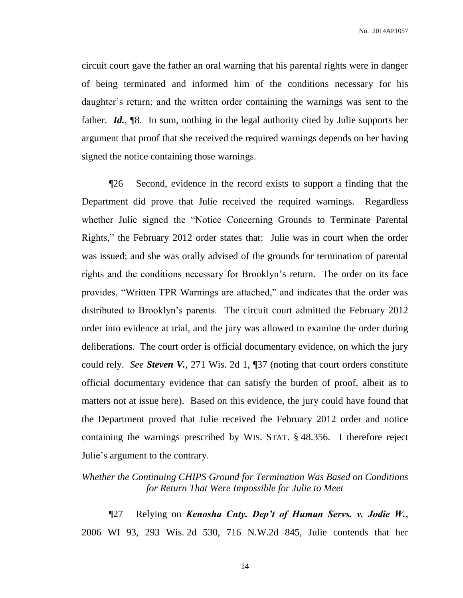circuit court gave the father an oral warning that his parental rights were in danger of being terminated and informed him of the conditions necessary for his daughter's return; and the written order containing the warnings was sent to the father. *Id.*, ¶8. In sum, nothing in the legal authority cited by Julie supports her argument that proof that she received the required warnings depends on her having signed the notice containing those warnings.

¶26 Second, evidence in the record exists to support a finding that the Department did prove that Julie received the required warnings. Regardless whether Julie signed the "Notice Concerning Grounds to Terminate Parental Rights," the February 2012 order states that: Julie was in court when the order was issued; and she was orally advised of the grounds for termination of parental rights and the conditions necessary for Brooklyn's return. The order on its face provides, "Written TPR Warnings are attached," and indicates that the order was distributed to Brooklyn's parents. The circuit court admitted the February 2012 order into evidence at trial, and the jury was allowed to examine the order during deliberations. The court order is official documentary evidence, on which the jury could rely. *See Steven V.*, 271 Wis. 2d 1, ¶37 (noting that court orders constitute official documentary evidence that can satisfy the burden of proof, albeit as to matters not at issue here). Based on this evidence, the jury could have found that the Department proved that Julie received the February 2012 order and notice containing the warnings prescribed by WIS. STAT. § 48.356. I therefore reject Julie's argument to the contrary.

## *Whether the Continuing CHIPS Ground for Termination Was Based on Conditions for Return That Were Impossible for Julie to Meet*

¶27 Relying on *Kenosha Cnty. Dep't of Human Servs. v. Jodie W.*, 2006 WI 93, 293 Wis. 2d 530, 716 N.W.2d 845, Julie contends that her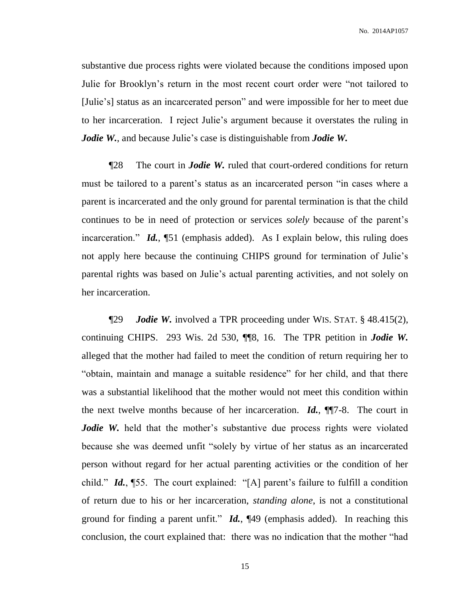substantive due process rights were violated because the conditions imposed upon Julie for Brooklyn's return in the most recent court order were "not tailored to [Julie's] status as an incarcerated person" and were impossible for her to meet due to her incarceration. I reject Julie's argument because it overstates the ruling in *Jodie W.*, and because Julie's case is distinguishable from *Jodie W.* 

¶28 The court in *Jodie W.* ruled that court-ordered conditions for return must be tailored to a parent's status as an incarcerated person "in cases where a parent is incarcerated and the only ground for parental termination is that the child continues to be in need of protection or services *solely* because of the parent's incarceration." *Id.*, ¶51 (emphasis added). As I explain below, this ruling does not apply here because the continuing CHIPS ground for termination of Julie's parental rights was based on Julie's actual parenting activities, and not solely on her incarceration.

¶29 *Jodie W.* involved a TPR proceeding under WIS. STAT. § 48.415(2), continuing CHIPS. 293 Wis. 2d 530, ¶¶8, 16. The TPR petition in *Jodie W.* alleged that the mother had failed to meet the condition of return requiring her to "obtain, maintain and manage a suitable residence" for her child, and that there was a substantial likelihood that the mother would not meet this condition within the next twelve months because of her incarceration. *Id.*, ¶¶7-8. The court in *Jodie W.* held that the mother's substantive due process rights were violated because she was deemed unfit "solely by virtue of her status as an incarcerated person without regard for her actual parenting activities or the condition of her child." *Id.*, ¶55. The court explained: "[A] parent's failure to fulfill a condition of return due to his or her incarceration, *standing alone*, is not a constitutional ground for finding a parent unfit." *Id.*, ¶49 (emphasis added). In reaching this conclusion, the court explained that: there was no indication that the mother "had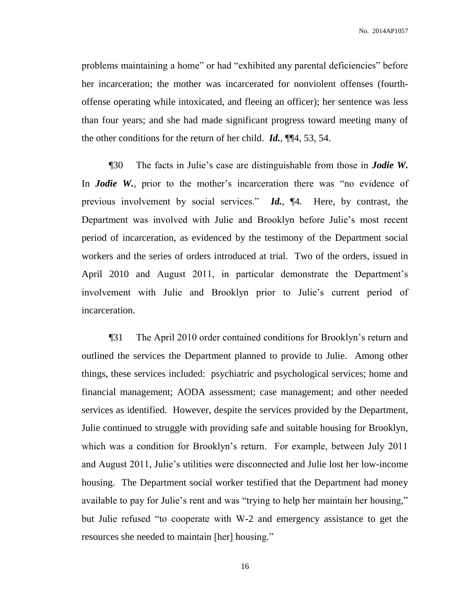No. 2014AP1057

problems maintaining a home" or had "exhibited any parental deficiencies" before her incarceration; the mother was incarcerated for nonviolent offenses (fourthoffense operating while intoxicated, and fleeing an officer); her sentence was less than four years; and she had made significant progress toward meeting many of the other conditions for the return of her child. *Id.*, ¶¶4, 53, 54.

¶30 The facts in Julie's case are distinguishable from those in *Jodie W.* In *Jodie W.*, prior to the mother's incarceration there was "no evidence of previous involvement by social services." *Id.*, ¶4. Here, by contrast, the Department was involved with Julie and Brooklyn before Julie's most recent period of incarceration, as evidenced by the testimony of the Department social workers and the series of orders introduced at trial. Two of the orders, issued in April 2010 and August 2011, in particular demonstrate the Department's involvement with Julie and Brooklyn prior to Julie's current period of incarceration.

¶31 The April 2010 order contained conditions for Brooklyn's return and outlined the services the Department planned to provide to Julie. Among other things, these services included: psychiatric and psychological services; home and financial management; AODA assessment; case management; and other needed services as identified. However, despite the services provided by the Department, Julie continued to struggle with providing safe and suitable housing for Brooklyn, which was a condition for Brooklyn's return. For example, between July 2011 and August 2011, Julie's utilities were disconnected and Julie lost her low-income housing. The Department social worker testified that the Department had money available to pay for Julie's rent and was "trying to help her maintain her housing," but Julie refused "to cooperate with W-2 and emergency assistance to get the resources she needed to maintain [her] housing."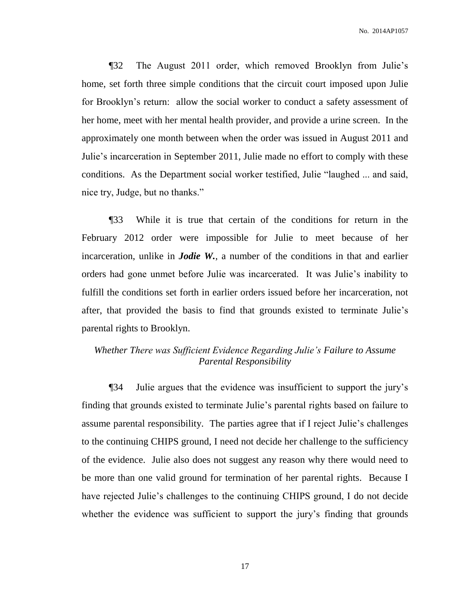¶32 The August 2011 order, which removed Brooklyn from Julie's home, set forth three simple conditions that the circuit court imposed upon Julie for Brooklyn's return: allow the social worker to conduct a safety assessment of her home, meet with her mental health provider, and provide a urine screen. In the approximately one month between when the order was issued in August 2011 and Julie's incarceration in September 2011, Julie made no effort to comply with these conditions. As the Department social worker testified, Julie "laughed ... and said, nice try, Judge, but no thanks."

¶33 While it is true that certain of the conditions for return in the February 2012 order were impossible for Julie to meet because of her incarceration, unlike in *Jodie W.*, a number of the conditions in that and earlier orders had gone unmet before Julie was incarcerated. It was Julie's inability to fulfill the conditions set forth in earlier orders issued before her incarceration, not after, that provided the basis to find that grounds existed to terminate Julie's parental rights to Brooklyn.

# *Whether There was Sufficient Evidence Regarding Julie's Failure to Assume Parental Responsibility*

¶34 Julie argues that the evidence was insufficient to support the jury's finding that grounds existed to terminate Julie's parental rights based on failure to assume parental responsibility. The parties agree that if I reject Julie's challenges to the continuing CHIPS ground, I need not decide her challenge to the sufficiency of the evidence. Julie also does not suggest any reason why there would need to be more than one valid ground for termination of her parental rights. Because I have rejected Julie's challenges to the continuing CHIPS ground, I do not decide whether the evidence was sufficient to support the jury's finding that grounds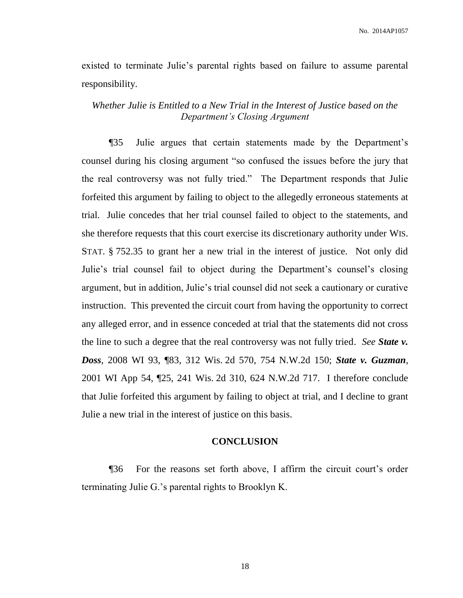No. 2014AP1057

existed to terminate Julie's parental rights based on failure to assume parental responsibility.

*Whether Julie is Entitled to a New Trial in the Interest of Justice based on the Department's Closing Argument*

¶35 Julie argues that certain statements made by the Department's counsel during his closing argument "so confused the issues before the jury that the real controversy was not fully tried." The Department responds that Julie forfeited this argument by failing to object to the allegedly erroneous statements at trial. Julie concedes that her trial counsel failed to object to the statements, and she therefore requests that this court exercise its discretionary authority under WIS. STAT. § 752.35 to grant her a new trial in the interest of justice. Not only did Julie's trial counsel fail to object during the Department's counsel's closing argument, but in addition, Julie's trial counsel did not seek a cautionary or curative instruction. This prevented the circuit court from having the opportunity to correct any alleged error, and in essence conceded at trial that the statements did not cross the line to such a degree that the real controversy was not fully tried. *See State v. Doss*, 2008 WI 93, ¶83, 312 Wis. 2d 570, 754 N.W.2d 150; *State v. Guzman*, 2001 WI App 54, ¶25, 241 Wis. 2d 310, 624 N.W.2d 717. I therefore conclude that Julie forfeited this argument by failing to object at trial, and I decline to grant Julie a new trial in the interest of justice on this basis.

## **CONCLUSION**

¶36 For the reasons set forth above, I affirm the circuit court's order terminating Julie G.'s parental rights to Brooklyn K.